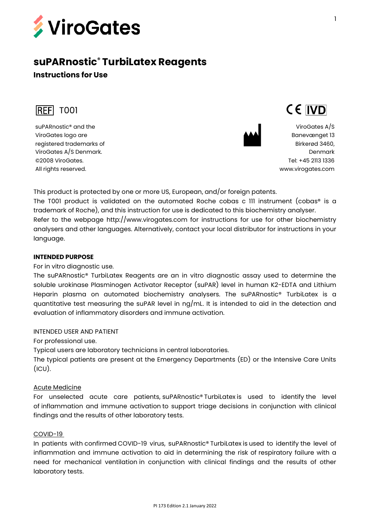

# **suPARnostic® TurbiLatex Reagents Instructions for Use**



suPARnostic® and the ViroGates logo are registered trademarks of ViroGates A/S Denmark. ©2008 ViroGates. All rights reserved.



ViroGates A/S Banevænget 13 Birkerød 3460, Denmark Tel: +45 2113 1336 [www.virogates.com](http://www.virogates.com/)

CE IVD

This product is protected by one or more US, European, and/or foreign patents.

The T001 product is validated on the automated Roche cobas c 111 instrument (cobas® is a trademark of Roche), and this instruction for use is dedicated to this biochemistry analyser. Refer to the webpage http://www.virogates.com for instructions for use for other biochemistry analysers and other languages. Alternatively, contact your local distributor for instructions in your language.

#### **INTENDED PURPOSE**

For in vitro diagnostic use.

The suPARnostic® TurbiLatex Reagents are an in vitro diagnostic assay used to determine the soluble urokinase Plasminogen Activator Receptor (suPAR) level in human K2-EDTA and Lithium Heparin plasma on automated biochemistry analysers. The suPARnostic® TurbiLatex is a quantitative test measuring the suPAR level in  $nq/mL$ . It is intended to aid in the detection and evaluation of inflammatory disorders and immune activation.

# INTENDED USER AND PATIENT

For professional use.

Typical users are laboratory technicians in central laboratories.

The typical patients are present at the Emergency Departments (ED) or the Intensive Care Units  $(ICU)$ .

#### Acute Medicine

For unselected acute care patients, suPARnostic® TurbiLatex is used to identify the level of inflammation and immune activation to support triage decisions in conjunction with clinical findings and the results of other laboratory tests.

## COVID-19

In patients with confirmed COVID-19 virus, suPARnostic® TurbiLatex is used to identify the level of inflammation and immune activation to aid in determining the risk of respiratory failure with a need for mechanical ventilation in conjunction with clinical findings and the results of other laboratory tests.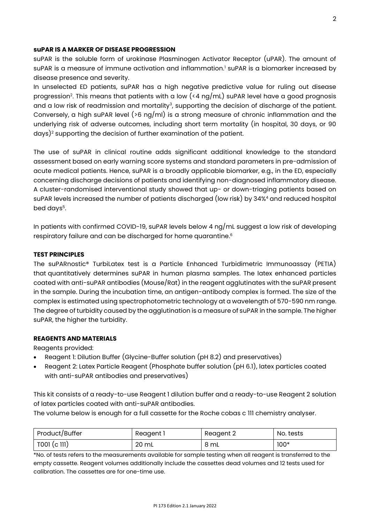#### **suPAR IS A MARKER OF DISEASE PROGRESSION**

suPAR is the soluble form of urokinase Plasminogen Activator Receptor (uPAR). The amount of suPAR is a measure of immune activation and inflammation.<sup>1</sup> suPAR is a biomarker increased by disease presence and severity.

In unselected ED patients, suPAR has a high negative predictive value for ruling out disease progression<sup>2</sup>. This means that patients with a low (<4  $\log/\text{mL}$ ) suPAR level have a good prognosis and a low risk of readmission and mortality<sup>3</sup>, supporting the decision of discharge of the patient. Conversely, a high suPAR level ( $>6$  ng/ml) is a strong measure of chronic inflammation and the underlying risk of adverse outcomes, including short term mortality (in hospital, 30 days, or 90 days)<sup>2</sup> supporting the decision of further examination of the patient.

The use of suPAR in clinical routine adds significant additional knowledge to the standard assessment based on early warning score systems and standard parameters in pre-admission of acute medical patients. Hence, suPAR is a broadly applicable biomarker, e.g., in the ED, especially concerning discharge decisions of patients and identifying non-diagnosed inflammatory disease. A cluster-randomised interventional study showed that up- or down-triaging patients based on suPAR levels increased the number of patients discharged (low risk) by 34%<sup>4</sup> and reduced hospital bed days<sup>5</sup>.

In patients with confirmed COVID-19, suPAR levels below 4 ng/mL suggest a low risk of developing respiratory failure and can be discharged for home quarantine. 6

#### **TEST PRINCIPLES**

The suPARnostic® TurbiLatex test is a Particle Enhanced Turbidimetric Immunoassay (PETIA) that quantitatively determines suPAR in human plasma samples. The latex enhanced particles coated with anti-suPAR antibodies (Mouse/Rat) in the reagent agglutinates with the suPAR present in the sample. During the incubation time, an antigen-antibody complex is formed. The size of the complex is estimated using spectrophotometric technology at a wavelength of 570-590 nm range. The degree of turbidity caused by the agglutination is a measure of suPAR in the sample. The higher suPAR, the higher the turbidity.

#### **REAGENTS AND MATERIALS**

Reagents provided:

- Reagent 1: Dilution Buffer (Glycine-Buffer solution (pH 8.2) and preservatives)
- Reagent 2: Latex Particle Reagent (Phosphate buffer solution (pH 6.1), latex particles coated with anti-suPAR antibodies and preservatives)

This kit consists of a ready-to-use Reagent 1 dilution buffer and a ready-to-use Reagent 2 solution of latex particles coated with anti-suPAR antibodies.

The volume below is enough for a full cassette for the Roche cobas c 111 chemistry analyser.

| Product/Buffer | Reagent 1       | Reagent 2 | No. tests |
|----------------|-----------------|-----------|-----------|
| T001 (c 111)   | $20 \mathrm{m}$ | 8 mL      | $100*$    |

\*No. of tests refers to the measurements available for sample testing when all reagent is transferred to the empty cassette. Reagent volumes additionally include the cassettes dead volumes and 12 tests used for calibration. The cassettes are for one-time use.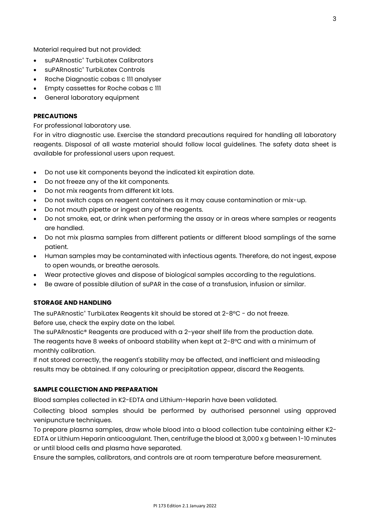Material required but not provided:

- suPARnostic<sup>®</sup> TurbiLatex Calibrators
- suPARnostic® TurbiLatex Controls
- Roche Diagnostic cobas c 111 analyser
- Empty cassettes for Roche cobas c 111
- General laboratory equipment

#### **PRECAUTIONS**

For professional laboratory use.

For in vitro diagnostic use. Exercise the standard precautions required for handling all laboratory reagents. Disposal of all waste material should follow local guidelines. The safety data sheet is available for professional users upon request.

- Do not use kit components beyond the indicated kit expiration date.
- Do not freeze any of the kit components.
- Do not mix reagents from different kit lots.
- Do not switch caps on reagent containers as it may cause contamination or mix-up.
- Do not mouth pipette or ingest any of the reagents.
- Do not smoke, eat, or drink when performing the assay or in areas where samples or reagents are handled.
- Do not mix plasma samples from different patients or different blood samplings of the same patient.
- Human samples may be contaminated with infectious agents. Therefore, do not ingest, expose to open wounds, or breathe aerosols.
- Wear protective gloves and dispose of biological samples according to the regulations.
- Be aware of possible dilution of suPAR in the case of a transfusion, infusion or similar.

## **STORAGE AND HANDLING**

The suPARnostic® TurbiLatex Reagents kit should be stored at 2-8°C - do not freeze. Before use, check the expiry date on the label.

The suPARnostic® Reagents are produced with a 2-year shelf life from the production date. The reagents have 8 weeks of onboard stability when kept at  $2$ -8°C and with a minimum of monthly calibration.

If not stored correctly, the reagent's stability may be affected, and inefficient and misleading results may be obtained. If any colouring or precipitation appear, discard the Reagents.

#### **SAMPLE COLLECTION AND PREPARATION**

Blood samples collected in K2-EDTA and Lithium-Heparin have been validated.

Collecting blood samples should be performed by authorised personnel using approved venipuncture techniques.

To prepare plasma samples, draw whole blood into a blood collection tube containing either K2- EDTA or Lithium Heparin anticoagulant. Then, centrifuge the blood at 3,000 x g between 1-10 minutes or until blood cells and plasma have separated.

Ensure the samples, calibrators, and controls are at room temperature before measurement.

3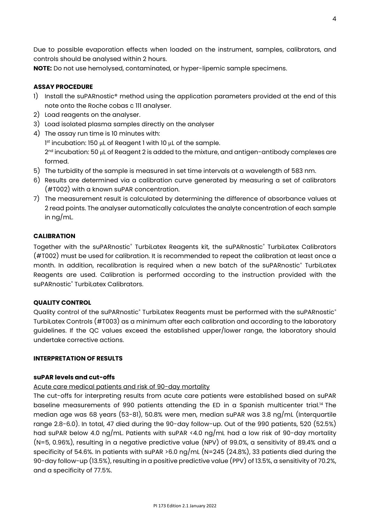Due to possible evaporation effects when loaded on the instrument, samples, calibrators, and controls should be analysed within 2 hours.

**NOTE:** Do not use hemolysed, contaminated, or hyper-lipemic sample specimens.

## **ASSAY PROCEDURE**

- 1) Install the suPARnostic<sup>®</sup> method using the application parameters provided at the end of this note onto the Roche cobas c 111 analyser.
- 2) Load reagents on the analyser.
- 3) Load isolated plasma samples directly on the analyser
- 4) The assay run time is 10 minutes with: 1 st incubation: 150 μL of Reagent 1 with 10 μL of the sample. 2<sup>nd</sup> incubation: 50 μL of Reagent 2 is added to the mixture, and antigen-antibody complexes are formed.
- 5) The turbidity of the sample is measured in set time intervals at a wavelength of 583 nm.
- 6) Results are determined via a calibration curve generated by measuring a set of calibrators (#T002) with a known suPAR concentration.
- 7) The measurement result is calculated by determining the difference of absorbance values at 2 read points. The analyser automatically calculates the analyte concentration of each sample in ng/mL.

## **CALIBRATION**

Together with the suPARnostic® TurbiLatex Reagents kit, the suPARnostic® TurbiLatex Calibrators (#T002) must be used for calibration. It is recommended to repeat the calibration at least once a month. In addition, recalibration is required when a new batch of the suPARnostic® TurbiLatex Reagents are used. Calibration is performed according to the instruction provided with the suPARnostic® TurbiLatex Calibrators.

## **QUALITY CONTROL**

Quality control of the suPARnostic® TurbiLatex Reagents must be performed with the suPARnostic® TurbiLatex Controls (#T003) as a minimum after each calibration and according to the laboratory guidelines. If the QC values exceed the established upper/lower range, the laboratory should undertake corrective actions.

# **INTERPRETATION OF RESULTS**

## **suPAR levels and cut-offs**

# Acute care medical patients and risk of 90-day mortality

The cut-offs for interpreting results from acute care patients were established based on suPAR baseline measurements of 990 patients attending the ED in a Spanish multicenter trial.<sup>14</sup> The median age was 68 years (53-81), 50.8% were men, median suPAR was 3.8 ng/mL (Interquartile range 2.8-6.0). In total, 47 died during the 90-day follow-up. Out of the 990 patients, 520 (52.5%) had suPAR below 4.0 ng/mL. Patients with suPAR <4.0 ng/mL had a low risk of 90-day mortality (N=5, 0.96%), resulting in a negative predictive value (NPV) of 99.0%, a sensitivity of 89.4% and a specificity of 54.6%. In patients with suPAR >6.0 ng/mL (N=245 (24.8%), 33 patients died during the 90-day follow-up (13.5%), resulting in a positive predictive value (PPV) of 13.5%, a sensitivity of 70.2%, and a specificity of 77.5%.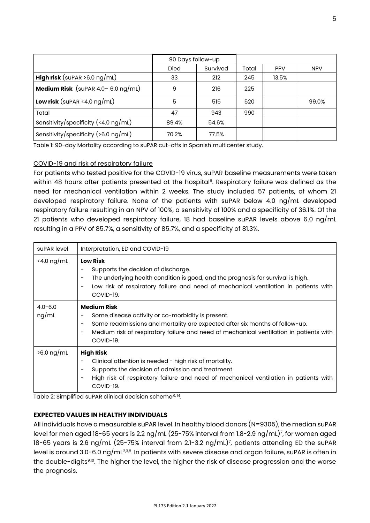|                                                | 90 Days follow-up |          |       |            |            |
|------------------------------------------------|-------------------|----------|-------|------------|------------|
|                                                | <b>Died</b>       | Survived | Total | <b>PPV</b> | <b>NPV</b> |
| <b>High risk</b> (suPAR $>6.0$ ng/mL)          | 33                | 212      | 245   | 13.5%      |            |
| <b>Medium Risk</b> (suPAR $4.0 - 6.0$ ng/mL)   | 9                 | 216      | 225   |            |            |
| <b>Low risk</b> (suPAR <4.0 $\log/\text{mL}$ ) | 5                 | 515      | 520   |            | 99.0%      |
| Total                                          | 47                | 943      | 990   |            |            |
| Sensitivity/specificity (<4.0 ng/mL)           | 89.4%             | 54.6%    |       |            |            |
| Sensitivity/specificity ( $>6.0$ ng/mL)        | 70.2%             | 77.5%    |       |            |            |

Table 1: 90-day Mortality according to suPAR cut-offs in Spanish multicenter study.

## COVID-19 and risk of respiratory failure

For patients who tested positive for the COVID-19 virus, suPAR baseline measurements were taken within 48 hours after patients presented at the hospital<sup>6</sup>. Respiratory failure was defined as the need for mechanical ventilation within 2 weeks. The study included 57 patients, of whom 21 developed respiratory failure. None of the patients with suPAR below 4.0 ng/mL developed respiratory failure resulting in an NPV of 100%, a sensitivity of 100% and a specificity of 36.1%. Of the 21 patients who developed respiratory failure, 18 had baseline suPAR levels above 6.0 ng/mL resulting in a PPV of 85.7%, a sensitivity of 85.7%, and a specificity of 81.3%.

| suPAR level          | Interpretation, ED and COVID-19                                                                                                                                                                                                                                                                                       |
|----------------------|-----------------------------------------------------------------------------------------------------------------------------------------------------------------------------------------------------------------------------------------------------------------------------------------------------------------------|
| $\le$ 4.0 ng/mL      | <b>Low Risk</b><br>Supports the decision of discharge.<br>The underlying health condition is good, and the prognosis for survival is high.<br>$\qquad \qquad -$<br>Low risk of respiratory failure and need of mechanical ventilation in patients with<br>COVID-19.                                                   |
| $4.0 - 6.0$<br>ng/mL | <b>Medium Risk</b><br>Some disease activity or co-morbidity is present.<br>Some readmissions and mortality are expected after six months of follow-up.<br>$\overline{\phantom{a}}$<br>Medium risk of respiratory failure and need of mechanical ventilation in patients with<br>$\overline{\phantom{a}}$<br>COVID-19. |
| $>6.0$ ng/mL         | <b>High Risk</b><br>Clinical attention is needed - high risk of mortality.<br>Supports the decision of admission and treatment<br>High risk of respiratory failure and need of mechanical ventilation in patients with<br>COVID-19.                                                                                   |

Table 2: Simplified suPAR clinical decision scheme<sup>,6, 14</sup>.

#### **EXPECTED VALUES IN HEALTHY INDIVIDUALS**

All individuals have a measurable suPAR level. In healthy blood donors (N=9305), the median suPAR level for men aged 18-65 years is 2.2 ng/mL (25-75% interval from 1.8-2.9 ng/mL)<sup>7</sup> , for women aged 18-65 years is 2.6 ng/mL (25-75% interval from 2.1-3.2 ng/mL)<sup>7</sup>, patients attending ED the suPAR level is around 3.0-6.0 ng/mL $^{2,3,8}$ . In patients with severe disease and organ failure, suPAR is often in  $\,$ the double-digits<sup>9,10</sup>. The higher the level, the higher the risk of disease progression and the worse the prognosis.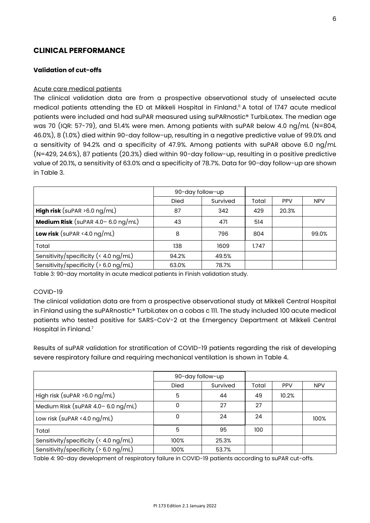# **CLINICAL PERFORMANCE**

## **Validation of cut-offs**

#### Acute care medical patients

The clinical validation data are from a prospective observational study of unselected acute medical patients attending the ED at Mikkeli Hospital in Finland. <sup>11</sup> A total of 1747 acute medical patients were included and had suPAR measured using suPARnostic® TurbiLatex. The median age was 70 (IQR: 57-79), and 51.4% were men. Among patients with suPAR below 4.0 ng/mL (N=804, 46.0%), 8 (1.0%) died within 90-day follow-up, resulting in a negative predictive value of 99.0% and a sensitivity of 94.2% and a specificity of 47.9%. Among patients with suPAR above 6.0 ng/mL (N=429, 24.6%), 87 patients (20.3%) died within 90-day follow-up, resulting in a positive predictive value of 20.1%, a sensitivity of 63.0% and a specificity of 78.7%. Data for 90-day follow-up are shown in Table 3.

|                                                               | 90-day follow-up |          |       |            |            |
|---------------------------------------------------------------|------------------|----------|-------|------------|------------|
|                                                               | <b>Died</b>      | Survived | Total | <b>PPV</b> | <b>NPV</b> |
| <b>High risk</b> (suPAR $>6.0$ ng/mL)                         | 87               | 342      | 429   | 20.3%      |            |
| Medium Risk (suPAR $4.0 - 6.0$ ng/mL)                         | 43               | 471      | 514   |            |            |
| <b>Low risk</b> (suPAR <4.0 $\log/\text{mL}$ )                | 8                | 796      | 804   |            | 99.0%      |
| Total                                                         | 138              | 1609     | 1.747 |            |            |
| Sensitivity/specificity ( $\langle 4.0 \text{ ng/mL} \rangle$ | 94.2%            | 49.5%    |       |            |            |
| Sensitivity/specificity ( $> 6.0$ ng/mL)                      | 63.0%            | 78.7%    |       |            |            |

Table 3: 90-day mortality in acute medical patients in Finish validation study.

#### COVID-19

The clinical validation data are from a prospective observational study at Mikkeli Central Hospital in Finland using the suPARnostic® TurbiLatex on a cobas c 111. The study included 100 acute medical patients who tested positive for SARS-CoV-2 at the Emergency Department at Mikkeli Central Hospital in Finland.<sup>7</sup>

Results of suPAR validation for stratification of COVID-19 patients regarding the risk of developing severe respiratory failure and requiring mechanical ventilation is shown in Table 4.

|                                          | 90-day follow-up |          |       |            |            |
|------------------------------------------|------------------|----------|-------|------------|------------|
|                                          | <b>Died</b>      | Survived | Total | <b>PPV</b> | <b>NPV</b> |
| High risk (suPAR $>6.0$ ng/mL)           | 5                | 44       | 49    | 10.2%      |            |
| Medium Risk (suPAR $4.0 - 6.0$ ng/mL)    | 0                | 27       | 27    |            |            |
| Low risk (suPAR <4.0 $\log$ /mL)         | 0                | 24       | 24    |            | 100%       |
| Total                                    | 5                | 95       | 100   |            |            |
| Sensitivity/specificity (< 4.0 ng/mL)    | 100%             | 25.3%    |       |            |            |
| Sensitivity/specificity ( $> 6.0$ ng/mL) | 100%             | 53.7%    |       |            |            |

Table 4: 90-day development of respiratory failure in COVID-19 patients according to suPAR cut-offs.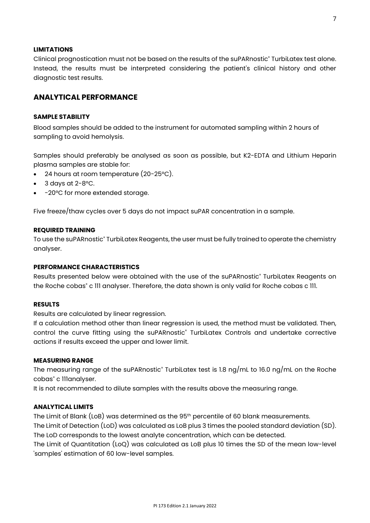#### **LIMITATIONS**

Clinical prognostication must not be based on the results of the suPARnostic® TurbiLatex test alone. Instead, the results must be interpreted considering the patient's clinical history and other diagnostic test results.

# **ANALYTICAL PERFORMANCE**

#### **SAMPLE STABILITY**

Blood samples should be added to the instrument for automated sampling within 2 hours of sampling to avoid hemolysis.

Samples should preferably be analysed as soon as possible, but K2-EDTA and Lithium Heparin plasma samples are stable for:

- 24 hours at room temperature (20-25°C).
- 3 days at  $2-8$ °C.
- -20°C for more extended storage.

Five freeze/thaw cycles over 5 days do not impact suPAR concentration in a sample.

#### **REQUIRED TRAINING**

To use the suPARnostic® TurbiLatex Reagents, the user must be fully trained to operate the chemistry analyser.

#### **PERFORMANCE CHARACTERISTICS**

Results presented below were obtained with the use of the suPARnostic® TurbiLatex Reagents on the Roche cobas<sup>®</sup> c 111 analyser. Therefore, the data shown is only valid for Roche cobas c 111.

## **RESULTS**

Results are calculated by linear regression.

If a calculation method other than linear regression is used, the method must be validated. Then, control the curve fitting using the suPARnostic® TurbiLatex Controls and undertake corrective actions if results exceed the upper and lower limit.

#### **MEASURING RANGE**

The measuring range of the suPARnostic<sup>®</sup> TurbiLatex test is 1.8 ng/mL to 16.0 ng/mL on the Roche cobas<sup>®</sup> c 111analyser.

It is not recommended to dilute samples with the results above the measuring range.

#### **ANALYTICAL LIMITS**

The Limit of Blank (LoB) was determined as the 95<sup>th</sup> percentile of 60 blank measurements. The Limit of Detection (LoD) was calculated as LoB plus 3 times the pooled standard deviation (SD). The LoD corresponds to the lowest analyte concentration, which can be detected.

The Limit of Quantitation (LoQ) was calculated as LoB plus 10 times the SD of the mean low-level 'samples' estimation of 60 low-level samples.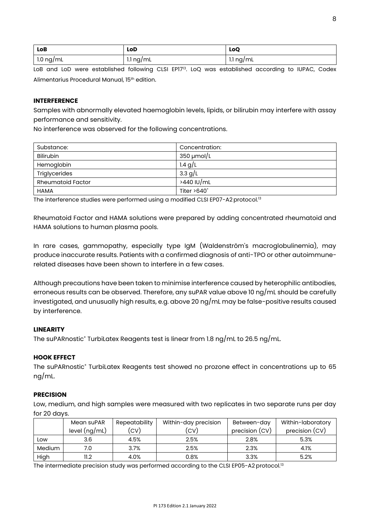| <b>LoB</b>            | LoD       | LoQ       |
|-----------------------|-----------|-----------|
| $1.0 \; \text{ng/mL}$ | 1.1 ng/mL | 1.1 ng/mL |

LoB and LoD were established following CLSI EP17<sup>13</sup>. LoQ was established according to IUPAC, Codex Alimentarius Procedural Manual, 15th edition.

#### **INTERFERENCE**

Samples with abnormally elevated haemoglobin levels, lipids, or bilirubin may interfere with assay performance and sensitivity.

No interference was observed for the following concentrations.

| Substance:               | Concentration:     |
|--------------------------|--------------------|
| <b>Bilirubin</b>         | $350 \mu$ mol/L    |
| Hemoglobin               | 1.4 $g/L$          |
| Triglycerides            | 3.3 g/L            |
| <b>Rheumatoid Factor</b> | >440 IU/mL         |
| <b>HAMA</b>              | Titer $>640^\circ$ |

The interference studies were performed using a modified CLSI EP07-A2 protocol.<sup>13</sup>

Rheumatoid Factor and HAMA solutions were prepared by adding concentrated rheumatoid and HAMA solutions to human plasma pools.

In rare cases, gammopathy, especially type IgM (Waldenström's macroglobulinemia), may produce inaccurate results. Patients with a confirmed diagnosis of anti-TPO or other autoimmunerelated diseases have been shown to interfere in a few cases.

Although precautions have been taken to minimise interference caused by heterophilic antibodies, erroneous results can be observed. Therefore, any suPAR value above 10 ng/mL should be carefully investigated, and unusually high results, e.g. above 20 ng/mL may be false-positive results caused by interference.

# **LINEARITY**

The suPARnostic<sup>®</sup> TurbiLatex Reagents test is linear from 1.8 ng/mL to 26.5 ng/mL.

#### **HOOK EFFECT**

The suPARnostic® TurbiLatex Reagents test showed no prozone effect in concentrations up to 65 ng/mL.

#### **PRECISION**

Low, medium, and high samples were measured with two replicates in two separate runs per day for 20 days.

|        | Mean suPAR      | Repeatability | Within-day precision | Between-day    | Within-laboratory |
|--------|-----------------|---------------|----------------------|----------------|-------------------|
|        | level $(ng/mL)$ | (CV)          | (CV)                 | precision (CV) | precision (CV)    |
| Low    | 3.6             | 4.5%          | 2.5%                 | 2.8%           | 5.3%              |
| Medium | 7.0             | 3.7%          | 2.5%                 | 2.3%           | 4.1%              |
| High   | 11.2            | 4.0%          | 0.8%                 | 3.3%           | 5.2%              |

The intermediate precision study was performed according to the CLSI EP05-A2 protocol.<sup>13</sup>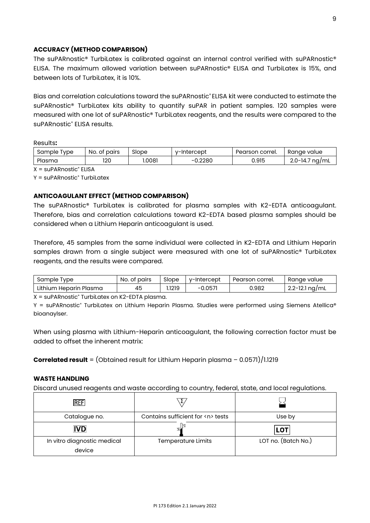## **ACCURACY (METHOD COMPARISON)**

The suPARnostic® TurbiLatex is calibrated against an internal control verified with suPARnostic® ELISA. The maximum allowed variation between suPARnostic® ELISA and TurbiLatex is 15%, and between lots of TurbiLatex, it is 10%.

Bias and correlation calculations toward the suPARnostic® ELISA kit were conducted to estimate the suPARnostic® TurbiLatex kits ability to quantify suPAR in patient samples. 120 samples were measured with one lot of suPARnostic® TurbiLatex reagents, and the results were compared to the suPARnostic® ELISA results.

Results**:**

| sample<br>Type | No.<br>pairs<br>OT. | Slope  | v-Intercept | Pearson correl. | Ranae<br>value             |
|----------------|---------------------|--------|-------------|-----------------|----------------------------|
| Plasma         | 120                 | 1.0081 | 0.2280      | 0.915           | ' na/mL<br>' 1-14.,<br>ے.∟ |

 $X = \text{sup}$ ARnostic<sup>®</sup> ELISA

 $Y = \text{supARNostic}^*$  TurbiLatex

#### **ANTICOAGULANT EFFECT (METHOD COMPARISON)**

The suPARnostic® TurbiLatex is calibrated for plasma samples with K2-EDTA anticoagulant. Therefore, bias and correlation calculations toward K2-EDTA based plasma samples should be considered when a Lithium Heparin anticoagulant is used.

Therefore, 45 samples from the same individual were collected in K2-EDTA and Lithium Heparin samples drawn from a single subject were measured with one lot of suPARnostic<sup>®</sup> TurbiLatex reagents, and the results were compared.

| Sample Type            | No. of pairs | Slope  | v-Intercept | Pearson correl. | Ranae value    |
|------------------------|--------------|--------|-------------|-----------------|----------------|
| Lithium Heparin Plasma | 45           | 1219،، | $-0.057$    | 0.982           | 2.2-12.1 ng/mL |

X = suPARnostic® TurbiLatex on K2-EDTA plasma.

Y = suPARnostic® TurbiLatex on Lithium Heparin Plasma. Studies were performed using Siemens Atellica® bioanaylser.

When using plasma with Lithium-Heparin anticoagulant, the following correction factor must be added to offset the inherent matrix:

**Correlated result** = (Obtained result for Lithium Heparin plasma – 0.0571)/1.1219

#### **WASTE HANDLING**

Discard unused reagents and waste according to country, federal, state, and local regulations.

| <b>REF</b>                            |                                       |                     |
|---------------------------------------|---------------------------------------|---------------------|
| Catalogue no.                         | Contains sufficient for <n> tests</n> | Use by              |
| <b>IVD</b>                            |                                       | LOT                 |
| In vitro diagnostic medical<br>device | <b>Temperature Limits</b>             | LOT no. (Batch No.) |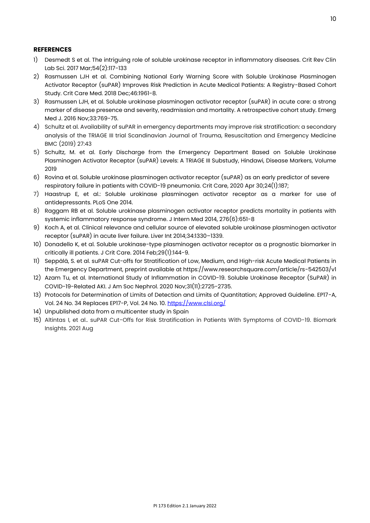#### **REFERENCES**

- 1) Desmedt S et al. The intriguing role of soluble urokinase receptor in inflammatory diseases. Crit Rev Clin Lab Sci. 2017 Mar;54(2):117-133
- 2) Rasmussen LJH et al. Combining National Early Warning Score with Soluble Urokinase Plasminogen Activator Receptor (suPAR) Improves Risk Prediction in Acute Medical Patients: A Registry-Based Cohort Study. Crit Care Med. 2018 Dec;46:1961-8.
- 3) Rasmussen LJH, et al. Soluble urokinase plasminogen activator receptor (suPAR) in acute care: a strong marker of disease presence and severity, readmission and mortality. A retrospective cohort study. Emerg Med J. 2016 Nov;33:769-75.
- 4) Schultz et al. Availability of suPAR in emergency departments may improve risk stratification: a secondary analysis of the TRIAGE III trial Scandinavian Journal of Trauma, Resuscitation and Emergency Medicine BMC (2019) 27:43
- 5) Schultz, M. et al. Early Discharge from the Emergency Department Based on Soluble Urokinase Plasminogen Activator Receptor (suPAR) Levels: A TRIAGE III Substudy, Hindawi, Disease Markers, Volume 2019
- 6) Rovina et al. Soluble urokinase plasminogen activator receptor (suPAR) as an early predictor of severe respiratory failure in patients with COVID-19 pneumonia. Crit Care, 2020 Apr 30;24(1):187;
- 7) Haastrup E, et al.: Soluble urokinase plasminogen activator receptor as a marker for use of antidepressants. PLoS One 2014.
- 8) Raggam RB et al. Soluble urokinase plasminogen activator receptor predicts mortality in patients with systemic inflammatory response syndrome. J Intern Med 2014, 276(6):651-8
- 9) Koch A, et al. Clinical relevance and cellular source of elevated soluble urokinase plasminogen activator receptor (suPAR) in acute liver failure. Liver Int 2014;34:1330–1339.
- 10) Donadello K, et al. Soluble urokinase-type plasminogen activator receptor as a prognostic biomarker in critically ill patients. J Crit Care. 2014 Feb;29(1):144-9.
- 11) Seppälä, S. et al. suPAR Cut-offs for Stratification of Low, Medium, and High-risk Acute Medical Patients in the Emergency Department, preprint available at https://www.researchsquare.com/article/rs-542503/v1
- 12) Azam Tu, et al. International Study of Inflammation in COVID-19. Soluble Urokinase Receptor (SuPAR) in COVID-19-Related AKI. J Am Soc Nephrol. 2020 Nov;31(11):2725-2735.
- 13) Protocols for Determination of Limits of Detection and Limits of Quantitation; Approved Guideline. EP17-A, Vol. 24 No. 34 Replaces EP17-P, Vol. 24 No. 10[. https://www.clsi.org/](https://www.clsi.org/)
- 14) Unpublished data from a multicenter study in Spain
- 15) Altintas I, et al.. suPAR Cut-Offs for Risk Stratification in Patients With Symptoms of COVID-19. Biomark Insights. 2021 Aug